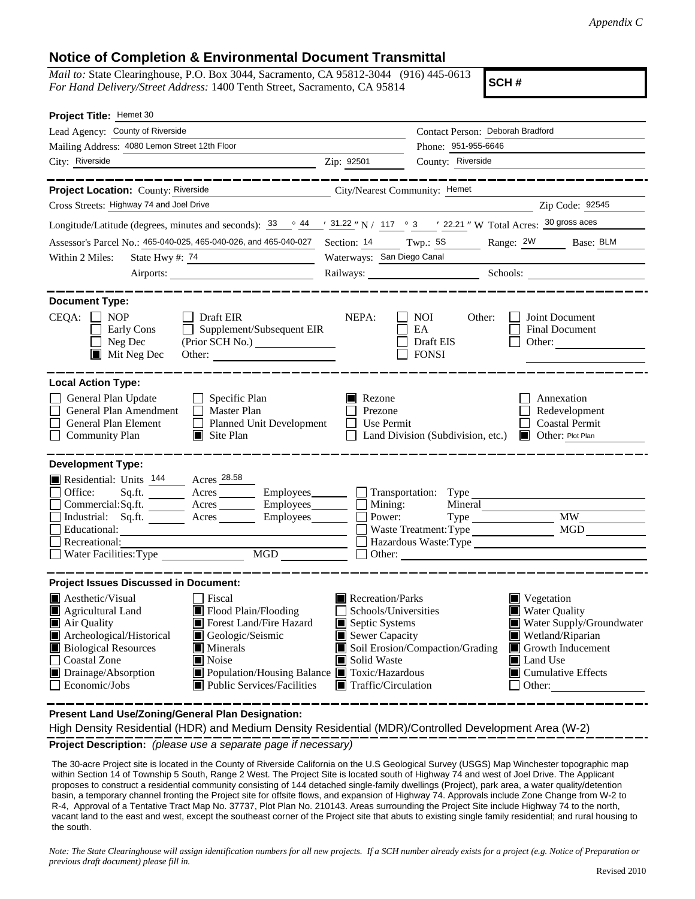## **Notice of Completion & Environmental Document Transmittal**

*Mail to:* State Clearinghouse, P.O. Box 3044, Sacramento, CA 95812-3044 (916) 445-0613 *For Hand Delivery/Street Address:* 1400 Tenth Street, Sacramento, CA 95814

**SCH #**

| Project Title: Hemet 30                                                                                                                                                                                                                                                                                                                                                                                                 |                                                                                                                                   |                                                                                                                                                                                                                                    |  |
|-------------------------------------------------------------------------------------------------------------------------------------------------------------------------------------------------------------------------------------------------------------------------------------------------------------------------------------------------------------------------------------------------------------------------|-----------------------------------------------------------------------------------------------------------------------------------|------------------------------------------------------------------------------------------------------------------------------------------------------------------------------------------------------------------------------------|--|
| Lead Agency: County of Riverside                                                                                                                                                                                                                                                                                                                                                                                        |                                                                                                                                   | Contact Person: Deborah Bradford                                                                                                                                                                                                   |  |
| Mailing Address: 4080 Lemon Street 12th Floor                                                                                                                                                                                                                                                                                                                                                                           |                                                                                                                                   | Phone: 951-955-6646                                                                                                                                                                                                                |  |
| City: Riverside                                                                                                                                                                                                                                                                                                                                                                                                         | Zip: 92501                                                                                                                        | County: Riverside                                                                                                                                                                                                                  |  |
|                                                                                                                                                                                                                                                                                                                                                                                                                         |                                                                                                                                   |                                                                                                                                                                                                                                    |  |
| Project Location: County: Riverside                                                                                                                                                                                                                                                                                                                                                                                     | City/Nearest Community: Hemet                                                                                                     |                                                                                                                                                                                                                                    |  |
| Cross Streets: Highway 74 and Joel Drive                                                                                                                                                                                                                                                                                                                                                                                |                                                                                                                                   | Zip Code: 92545                                                                                                                                                                                                                    |  |
| Longitude/Latitude (degrees, minutes and seconds): $\frac{33}{9}$ $\frac{44}{9}$ $\frac{131.22}{9}$ N / 117 $\degree$ 3 $\degree$ 122.21 " W Total Acres: $\frac{30 \text{ gross access}}{30 \text{ gross access}}$                                                                                                                                                                                                     |                                                                                                                                   |                                                                                                                                                                                                                                    |  |
| Assessor's Parcel No.: 465-040-025, 465-040-026, and 465-040-027                                                                                                                                                                                                                                                                                                                                                        | Section: $14$ Twp.: $5S$                                                                                                          | Range: 2W Base: BLM                                                                                                                                                                                                                |  |
| Within 2 Miles:<br>State Hwy #: 74<br><u> 1989 - Johann Barbara, martxa alemani</u> a                                                                                                                                                                                                                                                                                                                                   | Waterways: San Diego Canal                                                                                                        |                                                                                                                                                                                                                                    |  |
|                                                                                                                                                                                                                                                                                                                                                                                                                         |                                                                                                                                   |                                                                                                                                                                                                                                    |  |
| <b>Document Type:</b><br>$CEQA: \Box$<br><b>NOP</b><br>$\Box$ Draft EIR<br>$\Box$<br>Supplement/Subsequent EIR<br>Early Cons<br>Neg Dec<br>$\blacksquare$ Mit Neg Dec                                                                                                                                                                                                                                                   | NEPA:                                                                                                                             | Joint Document<br>NOI<br>Other:<br>EA<br><b>Final Document</b><br>Draft EIS<br>Other:<br><b>FONSI</b>                                                                                                                              |  |
| <b>Local Action Type:</b>                                                                                                                                                                                                                                                                                                                                                                                               |                                                                                                                                   |                                                                                                                                                                                                                                    |  |
| General Plan Update<br>$\Box$ Specific Plan<br>General Plan Amendment<br>$\Box$ Master Plan<br><b>General Plan Element</b><br>Planned Unit Development<br><b>Community Plan</b><br>$\Box$ Site Plan                                                                                                                                                                                                                     | Rezone<br>Prezone<br>Use Permit                                                                                                   | Annexation<br>Redevelopment<br><b>Coastal Permit</b><br>Land Division (Subdivision, etc.)<br>Other: Plot Plan                                                                                                                      |  |
| <b>Development Type:</b><br>Residential: Units 144 Acres 28.58<br>Office:<br>Sq.ft. ________ Acres _________ Employees _______ __ Transportation: Type _______<br>Commercial:Sq.ft. _______ Acres ________ Employees _______ $\square$<br>Industrial: Sq.ft.<br>Acres<br>Educational:<br>Recreational:<br>Water Facilities: Type                                                                                        | Mining:<br>Power:                                                                                                                 | Mineral<br><b>MW</b><br><b>MGD</b><br>Waste Treatment: Type<br>Hazardous Waste: Type                                                                                                                                               |  |
| <b>Project Issues Discussed in Document:</b>                                                                                                                                                                                                                                                                                                                                                                            |                                                                                                                                   |                                                                                                                                                                                                                                    |  |
| $\blacksquare$ Aesthetic/Visual<br><b>Fiscal</b><br>Flood Plain/Flooding<br>Agricultural Land<br>Forest Land/Fire Hazard<br>Air Quality<br>Archeological/Historical<br>Geologic/Seismic<br><b>Biological Resources</b><br><b>Minerals</b><br><b>Coastal Zone</b><br>$\blacksquare$ Noise<br>Population/Housing Balance <b>T</b> Toxic/Hazardous<br>Drainage/Absorption<br>Economic/Jobs<br>■ Public Services/Facilities | Recreation/Parks<br>Schools/Universities<br>Septic Systems<br>Sewer Capacity<br>Solid Waste<br>$\blacksquare$ Traffic/Circulation | $\blacksquare$ Vegetation<br><b>Water Quality</b><br>Water Supply/Groundwater<br>$\blacksquare$ Wetland/Riparian<br>Soil Erosion/Compaction/Grading<br>Growth Inducement<br><b>Land Use</b><br>$\Box$ Cumulative Effects<br>Other: |  |

**Present Land Use/Zoning/General Plan Designation:**

High Density Residential (HDR) and Medium Density Residential (MDR)/Controlled Development Area (W-2)

**Project Description:** *(please use a separate page if necessary)*

The 30‐acre Project site is located in the County of Riverside California on the U.S Geological Survey (USGS) Map Winchester topographic map within Section 14 of Township 5 South, Range 2 West. The Project Site is located south of Highway 74 and west of Joel Drive. The Applicant proposes to construct a residential community consisting of 144 detached single-family dwellings (Project), park area, a water quality/detention basin, a temporary channel fronting the Project site for offsite flows, and expansion of Highway 74. Approvals include Zone Change from W-2 to R-4, Approval of a Tentative Tract Map No. 37737, Plot Plan No. 210143. Areas surrounding the Project Site include Highway 74 to the north, vacant land to the east and west, except the southeast corner of the Project site that abuts to existing single family residential; and rural housing to the south.

*Note: The State Clearinghouse will assign identification numbers for all new projects. If a SCH number already exists for a project (e.g. Notice of Preparation or previous draft document) please fill in.*